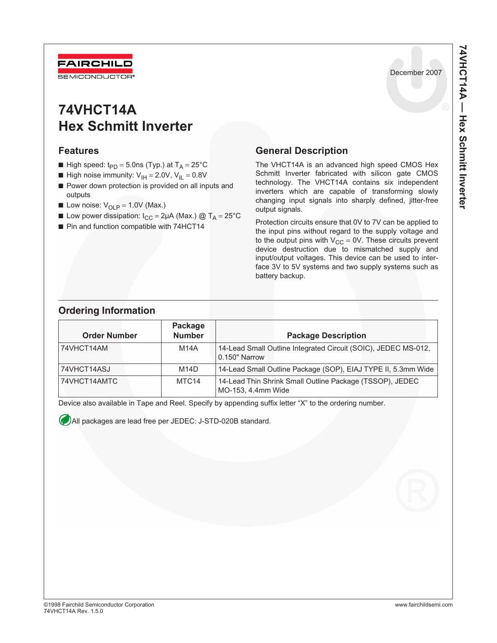

# **74VHCT14A Hex Schmitt Inverter**

#### **Features**

- High speed:  $t_{PD} = 5.0$ ns (Typ.) at T<sub>A</sub> = 25°C
- **High noise immunity:**  $V_{\text{IH}} = 2.0V$ **,**  $V_{\text{II}} = 0.8V$
- Power down protection is provided on all inputs and outputs
- **Low noise:**  $V_{OLP} = 1.0V$  (Max.)
- **■** Low power dissipation:  $I_{CC} = 2\mu A$  (Max.) @ T<sub>A</sub> = 25°C
- Pin and function compatible with 74HCT14

### **General Description**

The VHCT14A is an advanced high speed CMOS Hex Schmitt Inverter fabricated with silicon gate CMOS technology. The VHCT14A contains six independent inverters which are capable of transforming slowly changing input signals into sharply defined, jitter-free output signals.

Protection circuits ensure that 0V to 7V can be applied to the input pins without regard to the supply voltage and to the output pins with  $V_{CC} = 0V$ . These circuits prevent device destruction due to mismatched supply and input/output voltages. This device can be used to interface 3V to 5V systems and two supply systems such as battery backup.

### **Ordering Information**

| <b>Order Number</b> | Package<br><b>Number</b> | <b>Package Description</b>                                                      |
|---------------------|--------------------------|---------------------------------------------------------------------------------|
| 74VHCT14AM          | M14A                     | 14-Lead Small Outline Integrated Circuit (SOIC), JEDEC MS-012,<br>0.150" Narrow |
| 74VHCT14ASJ         | M14D                     | 14-Lead Small Outline Package (SOP), EIAJ TYPE II, 5.3mm Wide                   |
| 74VHCT14AMTC        | MTC <sub>14</sub>        | 14-Lead Thin Shrink Small Outline Package (TSSOP), JEDEC<br>MO-153, 4.4mm Wide  |

Device also available in Tape and Reel. Specify by appending suffix letter "X" to the ordering number.

All packages are lead free per JEDEC: J-STD-020B standard.

December 2007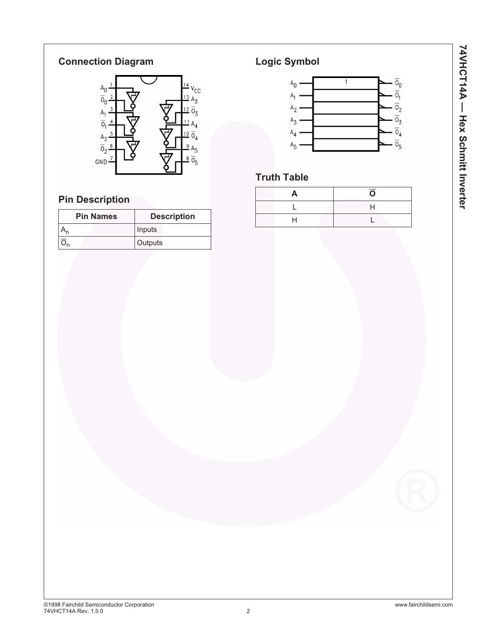#### **Connection Diagram**



# **Pin Description**

| <b>Pin Names</b> | <b>Description</b> |
|------------------|--------------------|
|                  | Inputs             |
|                  | Outputs            |

### **Logic Symbol**



## **Truth Table**

| m | Ξ |
|---|---|
|   |   |
|   |   |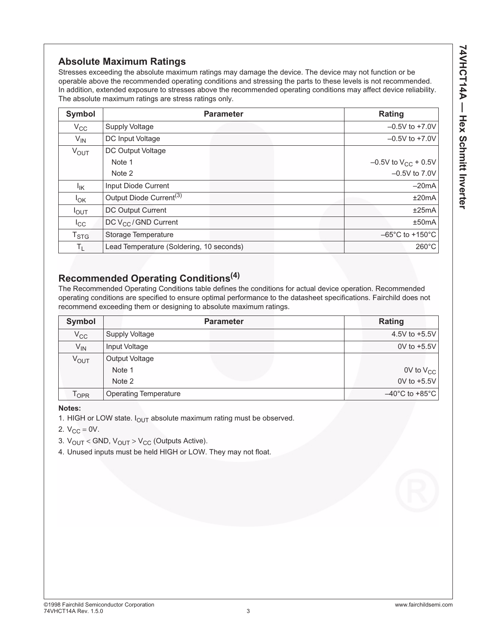#### **Absolute Maximum Ratings**

Stresses exceeding the absolute maximum ratings may damage the device. The device may not function or be operable above the recommended operating conditions and stressing the parts to these levels is not recommended. In addition, extended exposure to stresses above the recommended operating conditions may affect device reliability. The absolute maximum ratings are stress ratings only.

| <b>Symbol</b>               | <b>Parameter</b>                         | <b>Rating</b>                        |
|-----------------------------|------------------------------------------|--------------------------------------|
| $V_{CC}$                    | <b>Supply Voltage</b>                    | $-0.5V$ to $+7.0V$                   |
| $V_{IN}$                    | DC Input Voltage                         | $-0.5V$ to $+7.0V$                   |
| $V_{\text{OUT}}$            | DC Output Voltage                        |                                      |
|                             | Note 1                                   | $-0.5V$ to $V_{CC}$ + 0.5V           |
|                             | Note 2                                   | $-0.5V$ to $7.0V$                    |
| $I_{\mathsf{IK}}$           | Input Diode Current                      | $-20mA$                              |
| $I_{OK}$                    | Output Diode Current <sup>(3)</sup>      | ±20mA                                |
| $I_{OUT}$                   | <b>DC Output Current</b>                 | ±25mA                                |
| $I_{\rm CC}$                | DC V <sub>CC</sub> /GND Current          | ±50mA                                |
| $\mathsf{T}_{\textsf{STG}}$ | Storage Temperature                      | $-65^{\circ}$ C to +150 $^{\circ}$ C |
| $T_{L}$                     | Lead Temperature (Soldering, 10 seconds) | $260^{\circ}$ C                      |

# **Recommended Operating Conditions(4)**

The Recommended Operating Conditions table defines the conditions for actual device operation. Recommended operating conditions are specified to ensure optimal performance to the datasheet specifications. Fairchild does not recommend exceeding them or designing to absolute maximum ratings.

| Symbol                      | <b>Parameter</b>             | Rating                              |
|-----------------------------|------------------------------|-------------------------------------|
| $V_{CC}$                    | Supply Voltage               | 4.5V to $+5.5V$                     |
| $V_{IN}$                    | Input Voltage                | $0V$ to $+5.5V$                     |
| V <sub>OUT</sub>            | Output Voltage               |                                     |
|                             | Note 1                       | $0V$ to $V_{CC}$                    |
|                             | Note 2                       | 0V to +5.5V                         |
| $\mathsf{T}_{\mathsf{OPR}}$ | <b>Operating Temperature</b> | $-40^{\circ}$ C to +85 $^{\circ}$ C |

**Notes:**

1. HIGH or LOW state.  $I_{\text{OUT}}$  absolute maximum rating must be observed.

2.  $V_{CC} = 0V$ .

3.  $V_{OUT}$  < GND,  $V_{OUT}$  >  $V_{CC}$  (Outputs Active).

4. Unused inputs must be held HIGH or LOW. They may not float.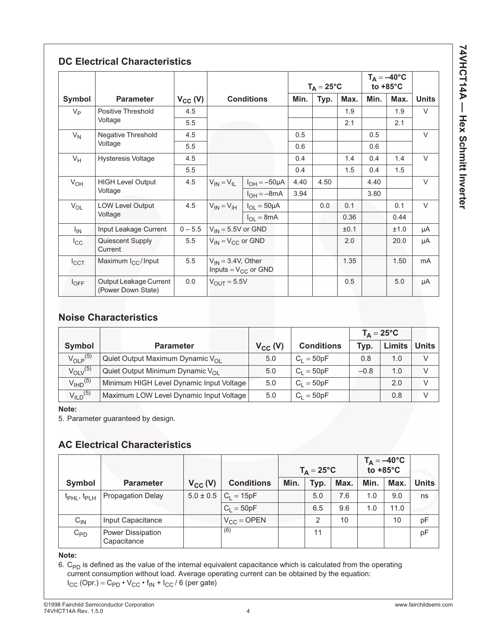**74VHCT14A - Hex Schmitt Inverter 74VHCT14A — Hex Schmitt Inverter**

|                                      |                                              |                                   |                                                     |                                         | $T_A = 25^{\circ}C$ |      |      | $T_A = -40$ °C<br>to $+85^{\circ}$ C |        |              |
|--------------------------------------|----------------------------------------------|-----------------------------------|-----------------------------------------------------|-----------------------------------------|---------------------|------|------|--------------------------------------|--------|--------------|
| Symbol<br><b>Parameter</b>           |                                              | <b>Conditions</b><br>$V_{CC} (V)$ |                                                     |                                         | Min.                | Typ. | Max. | Min.                                 | Max.   | <b>Units</b> |
| $V_{\mathsf{P}}$                     | Positive Threshold                           | 4.5                               |                                                     |                                         |                     |      | 1.9  |                                      | 1.9    | $\vee$       |
| Voltage                              | 5.5                                          |                                   |                                                     |                                         |                     | 2.1  |      | 2.1                                  |        |              |
| $V_N$                                | Negative Threshold                           | 4.5                               |                                                     |                                         | 0.5                 |      |      | 0.5                                  |        | $\vee$       |
|                                      | Voltage                                      | 5.5                               |                                                     |                                         | 0.6                 |      |      | 0.6                                  |        |              |
| <b>Hysteresis Voltage</b><br>$V_H$   | 4.5                                          |                                   |                                                     | 0.4                                     |                     | 1.4  | 0.4  | 1.4                                  | $\vee$ |              |
|                                      |                                              | 5.5                               |                                                     |                                         | 0.4                 |      | 1.5  | 0.4                                  | 1.5    |              |
| <b>HIGH Level Output</b><br>$V_{OH}$ | 4.5                                          |                                   | $V_{IN} = V_{IL}$   $I_{OH} = -50 \mu A$            | 4.40                                    | 4.50                |      | 4.40 |                                      | $\vee$ |              |
|                                      | Voltage                                      |                                   |                                                     | $I_{OH} = -8mA$                         | 3.94                |      |      | 3.80                                 |        |              |
| $V_{OL}$                             | <b>LOW Level Output</b>                      | 4.5                               |                                                     | $V_{1N} = V_{1H}$   $I_{OL} = 50 \mu A$ |                     | 0.0  | 0.1  |                                      | 0.1    | $\vee$       |
|                                      | Voltage                                      |                                   |                                                     | $I_{OL} = 8mA$                          |                     |      | 0.36 |                                      | 0.44   |              |
| $I_{IN}$                             | Input Leakage Current                        | $0 - 5.5$                         | $V_{IN}$ = 5.5V or GND                              |                                         |                     |      | ±0.1 |                                      | ±1.0   | μA           |
| $I_{\rm CC}$                         | Quiescent Supply<br>Current                  | 5.5                               | $V_{IN} = V_{CC}$ or GND                            |                                         |                     |      | 2.0  |                                      | 20.0   | μA           |
| $I_{\rm CCT}$                        | Maximum I <sub>CC</sub> /Input               | 5.5                               | $V_{IN} = 3.4V$ , Other<br>Inputs = $V_{CC}$ or GND |                                         |                     |      | 1.35 |                                      | 1.50   | mA           |
| $I_{OFF}$                            | Output Leakage Current<br>(Power Down State) | 0.0                               | $V_{\text{OUT}} = 5.5V$                             |                                         |                     |      | 0.5  |                                      | 5.0    | μA           |

#### **Noise Characteristics**

|                          |                                              |              |                   | $T_{\Delta} = 25^{\circ}C$ |               |               |
|--------------------------|----------------------------------------------|--------------|-------------------|----------------------------|---------------|---------------|
| Symbol                   | <b>Parameter</b>                             | $V_{CC}$ (V) | <b>Conditions</b> | Typ.                       | <b>Limits</b> | <b>Units</b>  |
| $V_{\text{O}}$ $P^{(5)}$ | Quiet Output Maximum Dynamic V <sub>OI</sub> | 5.0          | $C_1 = 50pF$      | 0.8                        | 1.0           | V             |
| $V_{\text{OIV}}^{(5)}$   | Quiet Output Minimum Dynamic V <sub>OI</sub> | 5.0          | $C_1 = 50pF$      | $-0.8$                     | 1.0           | $\mathcal{U}$ |
| $V_{\text{IHD}}^{(5)}$   | Minimum HIGH Level Dynamic Input Voltage     | 5.0          | $C_1 = 50pF$      |                            | 2.0           | $\mathcal{U}$ |
| $V_{ILD}$ <sup>(5)</sup> | Maximum LOW Level Dynamic Input Voltage      | 5.0          | $C_1 = 50pF$      |                            | 0.8           | $\sqrt{}$     |

**Note:**

5. Parameter guaranteed by design.

#### **AC Electrical Characteristics**

|                                     |                                  |               |                   | $T_A = -40^{\circ}C$<br>to +85°C<br>$T_A = 25^{\circ}C$ |               |      |      |      |              |
|-------------------------------------|----------------------------------|---------------|-------------------|---------------------------------------------------------|---------------|------|------|------|--------------|
| Symbol                              | <b>Parameter</b>                 | $V_{CC} (V)$  | <b>Conditions</b> | Min.                                                    | Typ.          | Max. | Min. | Max. | <b>Units</b> |
| t <sub>PHL</sub> , t <sub>PLH</sub> | <b>Propagation Delay</b>         | $5.0 \pm 0.5$ | $C_1 = 15pF$      |                                                         | 5.0           | 7.6  | 1.0  | 9.0  | ns           |
|                                     |                                  |               | $C_1 = 50pF$      |                                                         | 6.5           | 9.6  | 1.0  | 11.0 |              |
| $C_{IN}$                            | Input Capacitance                |               | $V_{CC} =$ OPEN   |                                                         | $\mathcal{P}$ | 10   |      | 10   | pF           |
| $C_{PD}$                            | Power Dissipation<br>Capacitance |               | (6)               |                                                         | 11            |      |      |      | pF           |

**Note:**

6.  $\mathsf{C}_{\mathsf{PD}}$  is defined as the value of the internal equivalent capacitance which is calculated from the operating current consumption without load. Average operating current can be obtained by the equation:  $I_{\text{CC}}$  (Opr.) = C<sub>PD</sub> • V<sub>CC</sub> • f<sub>IN</sub> +  $I_{\text{CC}}$  / 6 (per gate)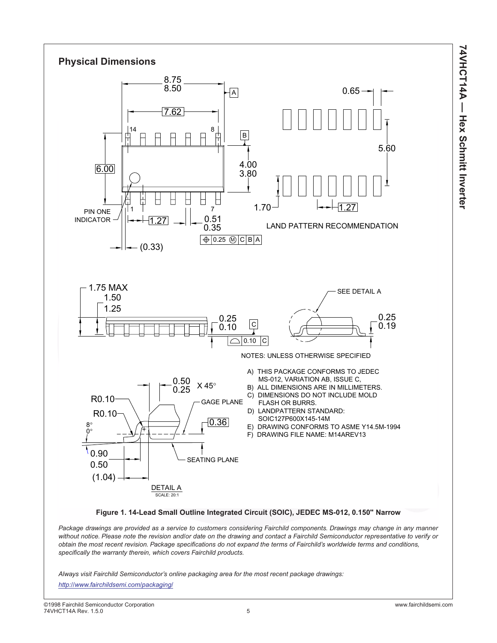



*Package drawings are provided as a service to customers considering Fairchild components. Drawings may change in any manner without notice. Please note the revision and/or date on the drawing and contact a Fairchild Semiconductor representative to verify or obtain the most recent revision. Package specifications do not expand the terms of Fairchild's worldwide terms and conditions, specifically the warranty therein, which covers Fairchild products.*

*Always visit Fairchild Semiconductor's online packaging area for the most recent package drawings:*

*<http://www.fairchildsemi.com/packaging/>*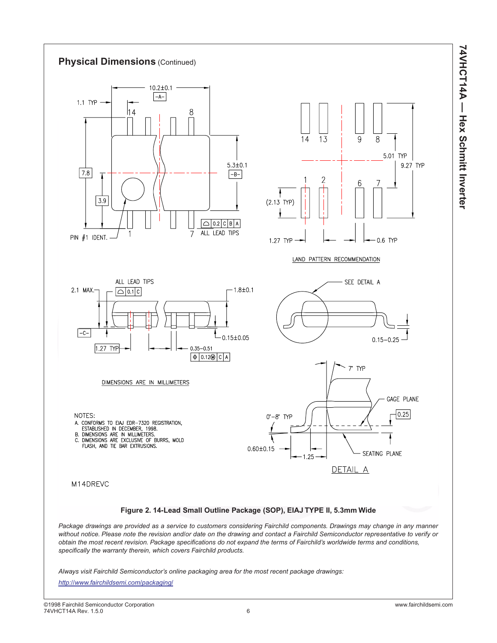**74VHCT14A - Hex Schmitt Inverter 74VHCT14A — Hex Schmitt Inverter**



*Always visit Fairchild Semiconductor's online packaging area for the most recent package drawings:*

*<http://www.fairchildsemi.com/packaging/>*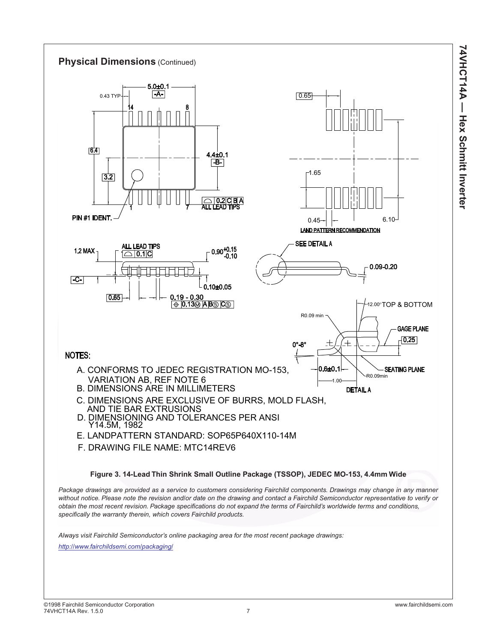

**74VHCT14A — Hex Schmitt Inverter**

**74VHCT14A - Hex Schmitt Inverter**